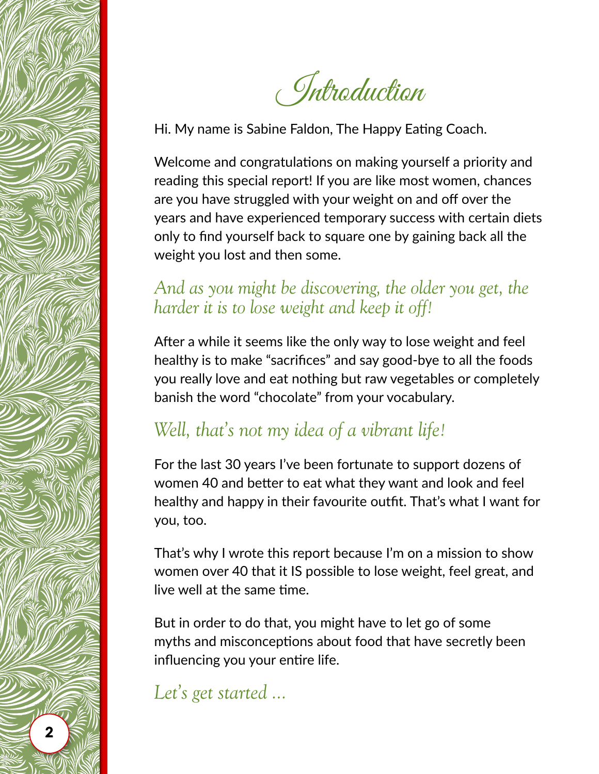

Introduction

Hi. My name is Sabine Faldon, The Happy Eating Coach.

Welcome and congratulations on making yourself a priority and reading this special report! If you are like most women, chances are you have struggled with your weight on and off over the years and have experienced temporary success with certain diets only to find yourself back to square one by gaining back all the weight you lost and then some.

## And as you might be discovering, the older you get, the *harder it is to lose weight and keep it off!*

After a while it seems like the only way to lose weight and feel healthy is to make "sacrifices" and say good-bye to all the foods you really love and eat nothing but raw vegetables or completely banish the word "chocolate" from your vocabulary.

## *Well, that's not my idea of a vibrant life!*

For the last 30 years I've been fortunate to support dozens of women 40 and better to eat what they want and look and feel healthy and happy in their favourite outfit. That's what I want for you, too.

That's why I wrote this report because I'm on a mission to show women over 40 that it IS possible to lose weight, feel great, and live well at the same time.

But in order to do that, you might have to let go of some myths and misconceptions about food that have secretly been influencing you your entire life.

*Let's get started ...*